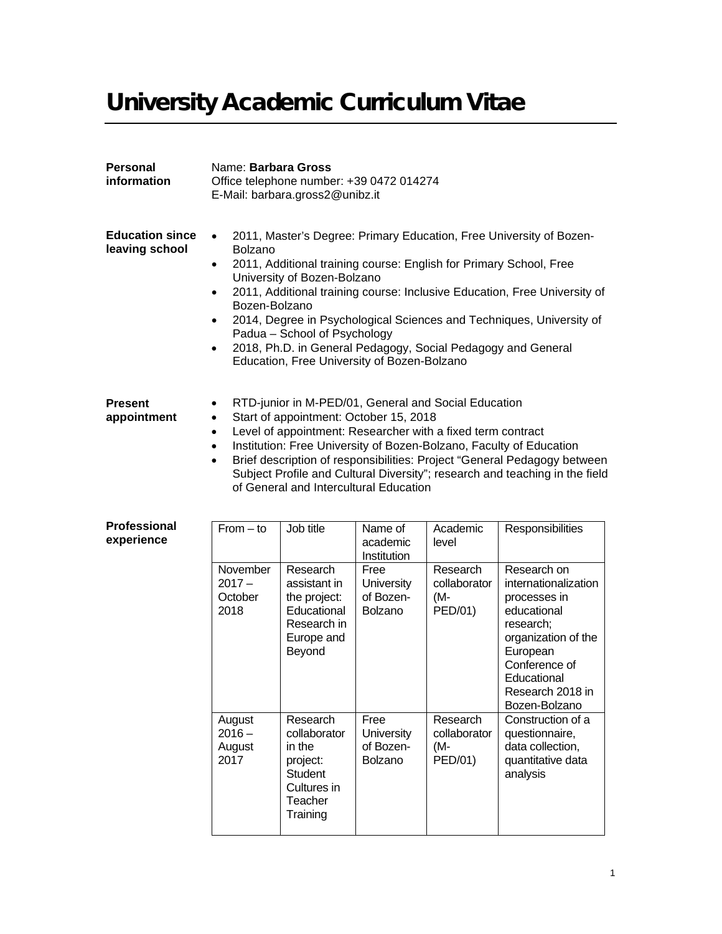# University Academic Curriculum Vitae

| Personal<br>information                  | Name: Barbara Gross                                                                                                                                                                                                                                                                                                                                                                                                                                                                                                                                                              | Office telephone number: +39 0472 014274<br>E-Mail: barbara.gross2@unibz.it                    |                                            |                                            |                                                                                                                                                    |
|------------------------------------------|----------------------------------------------------------------------------------------------------------------------------------------------------------------------------------------------------------------------------------------------------------------------------------------------------------------------------------------------------------------------------------------------------------------------------------------------------------------------------------------------------------------------------------------------------------------------------------|------------------------------------------------------------------------------------------------|--------------------------------------------|--------------------------------------------|----------------------------------------------------------------------------------------------------------------------------------------------------|
| <b>Education since</b><br>leaving school | 2011, Master's Degree: Primary Education, Free University of Bozen-<br>$\bullet$<br><b>Bolzano</b><br>2011, Additional training course: English for Primary School, Free<br>$\bullet$<br>University of Bozen-Bolzano<br>2011, Additional training course: Inclusive Education, Free University of<br>$\bullet$<br>Bozen-Bolzano<br>2014, Degree in Psychological Sciences and Techniques, University of<br>$\bullet$<br>Padua - School of Psychology<br>2018, Ph.D. in General Pedagogy, Social Pedagogy and General<br>$\bullet$<br>Education, Free University of Bozen-Bolzano |                                                                                                |                                            |                                            |                                                                                                                                                    |
| <b>Present</b><br>appointment            | RTD-junior in M-PED/01, General and Social Education<br>$\bullet$<br>Start of appointment: October 15, 2018<br>$\bullet$<br>Level of appointment: Researcher with a fixed term contract<br>$\bullet$<br>Institution: Free University of Bozen-Bolzano, Faculty of Education<br>$\bullet$<br>Brief description of responsibilities: Project "General Pedagogy between<br>$\bullet$<br>Subject Profile and Cultural Diversity"; research and teaching in the field<br>of General and Intercultural Education                                                                       |                                                                                                |                                            |                                            |                                                                                                                                                    |
| <b>Professional</b><br>experience        | $From - to$                                                                                                                                                                                                                                                                                                                                                                                                                                                                                                                                                                      | Job title                                                                                      | Name of<br>academic<br>Institution         | Academic<br>level                          | Responsibilities                                                                                                                                   |
|                                          | November<br>$2017 -$<br>October<br>2018                                                                                                                                                                                                                                                                                                                                                                                                                                                                                                                                          | Research<br>assistant in<br>the project:<br>Educational<br>Research in<br>Europe and<br>Beyond | Free<br>University<br>of Bozen-<br>Bolzano | Research<br>collaborator<br>(M-<br>PED/01) | Research on<br>internationalization<br>processes in<br>educational<br>research;<br>organization of the<br>European<br>Conference of<br>Educational |

August  $2016 -$ August 2017

Research collaborator in the project: **Student** Cultures in **Teacher Training** 

Free **University** of Bozen-Bolzano

Research collaborator

(M-PED/01) Research 2018 in Bozen-Bolzano

Construction of a questionnaire, data collection, quantitative data

analysis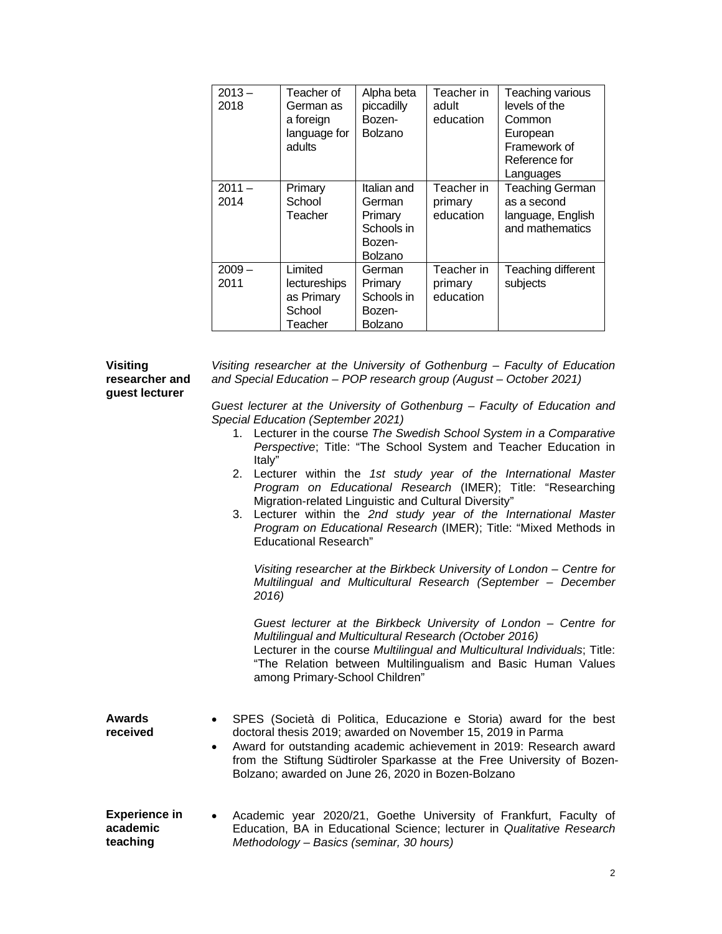| $2013 -$<br>2018 | Teacher of<br>German as<br>a foreign<br>language for<br>adults | Alpha beta<br>piccadilly<br>Bozen-<br><b>Bolzano</b>                | Teacher in<br>adult<br>education   | Teaching various<br>levels of the<br>Common<br>European<br>Framework of<br>Reference for<br>Languages |
|------------------|----------------------------------------------------------------|---------------------------------------------------------------------|------------------------------------|-------------------------------------------------------------------------------------------------------|
| $2011 -$<br>2014 | Primary<br>School<br>Teacher                                   | Italian and<br>German<br>Primary<br>Schools in<br>Bozen-<br>Bolzano | Teacher in<br>primary<br>education | <b>Teaching German</b><br>as a second<br>language, English<br>and mathematics                         |
| $2009 -$<br>2011 | Limited<br>lectureships<br>as Primary<br>School<br>Teacher     | German<br>Primary<br>Schools in<br>Bozen-<br>Bolzano                | Teacher in<br>primary<br>education | Teaching different<br>subjects                                                                        |

## **Visiting researcher and guest lecturer**

*Visiting researcher at the University of Gothenburg – Faculty of Education and Special Education – POP research group (August – October 2021)*

*Guest lecturer at the University of Gothenburg – Faculty of Education and Special Education (September 2021)*

- 1. Lecturer in the course *The Swedish School System in a Comparative Perspective*; Title: "The School System and Teacher Education in Italy"
- 2. Lecturer within the *1st study year of the International Master Program on Educational Research* (IMER); Title: "Researching Migration-related Linguistic and Cultural Diversity"
- 3. Lecturer within the *2nd study year of the International Master Program on Educational Research* (IMER); Title: "Mixed Methods in Educational Research"

*Visiting researcher at the Birkbeck University of London – Centre for Multilingual and Multicultural Research (September – December 2016)*

*Guest lecturer at the Birkbeck University of London – Centre for Multilingual and Multicultural Research (October 2016)*

Lecturer in the course *Multilingual and Multicultural Individuals*; Title: "The Relation between Multilingualism and Basic Human Values among Primary-School Children"

| Awards   | • SPES (Società di Politica, Educazione e Storia) award for the best |
|----------|----------------------------------------------------------------------|
| received | doctoral thesis 2019; awarded on November 15, 2019 in Parma          |
|          | Award for outstanding academic achievement in 2019: Research award   |

- from the Stiftung Südtiroler Sparkasse at the Free University of Bozen-Bolzano; awarded on June 26, 2020 in Bozen-Bolzano
- **Experience in academic teaching** • Academic year 2020/21, Goethe University of Frankfurt, Faculty of Education, BA in Educational Science; lecturer in *Qualitative Research Methodology – Basics (seminar, 30 hours)*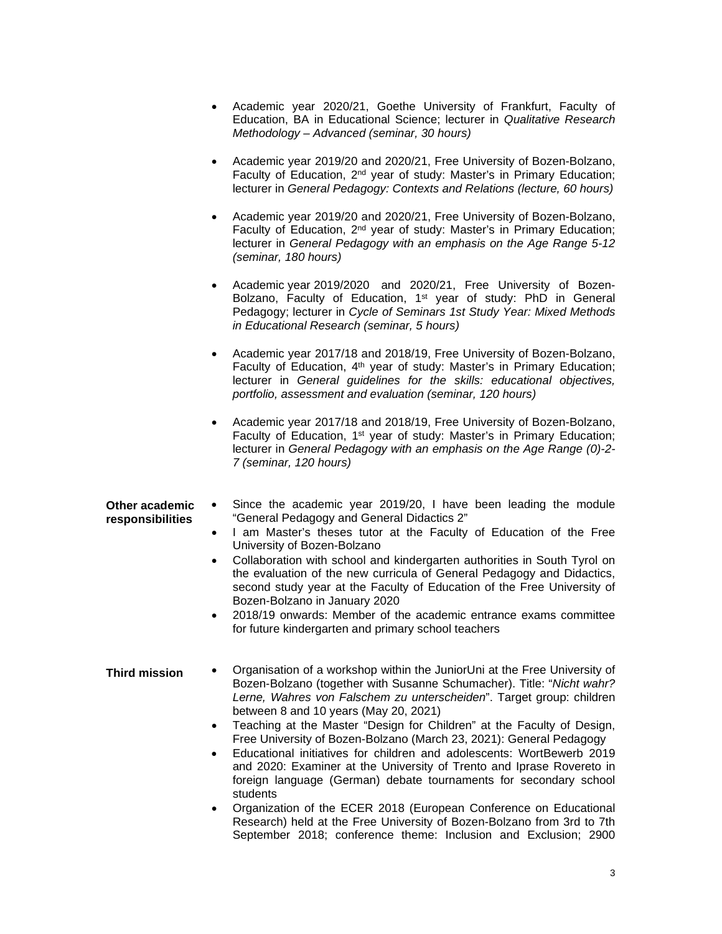- Academic year 2020/21, Goethe University of Frankfurt, Faculty of Education, BA in Educational Science; lecturer in *Qualitative Research Methodology – Advanced (seminar, 30 hours)*
- Academic year 2019/20 and 2020/21, Free University of Bozen-Bolzano, Faculty of Education, 2nd year of study: Master's in Primary Education; lecturer in *General Pedagogy: Contexts and Relations (lecture, 60 hours)*
- Academic year 2019/20 and 2020/21, Free University of Bozen-Bolzano, Faculty of Education, 2nd year of study: Master's in Primary Education; lecturer in *General Pedagogy with an emphasis on the Age Range 5-12 (seminar, 180 hours)*
- Academic year 2019/2020 and 2020/21, Free University of Bozen-Bolzano, Faculty of Education, 1<sup>st</sup> year of study: PhD in General Pedagogy; lecturer in *Cycle of Seminars 1st Study Year: Mixed Methods in Educational Research (seminar, 5 hours)*
- Academic year 2017/18 and 2018/19, Free University of Bozen-Bolzano, Faculty of Education, 4th year of study: Master's in Primary Education; lecturer in *General guidelines for the skills: educational objectives, portfolio, assessment and evaluation (seminar, 120 hours)*
- Academic year 2017/18 and 2018/19, Free University of Bozen-Bolzano, Faculty of Education, 1<sup>st</sup> year of study: Master's in Primary Education; lecturer in *General Pedagogy with an emphasis on the Age Range (0)-2- 7 (seminar, 120 hours)*

September 2018; conference theme: Inclusion and Exclusion; 2900

**Other academic responsibilities** Since the academic year 2019/20, I have been leading the module "General Pedagogy and General Didactics 2" I am Master's theses tutor at the Faculty of Education of the Free University of Bozen-Bolzano **Third mission** • Collaboration with school and kindergarten authorities in South Tyrol on the evaluation of the new curricula of General Pedagogy and Didactics, second study year at the Faculty of Education of the Free University of Bozen-Bolzano in January 2020 • 2018/19 onwards: Member of the academic entrance exams committee for future kindergarten and primary school teachers • Organisation of a workshop within the JuniorUni at the Free University of Bozen-Bolzano (together with Susanne Schumacher). Title: "*Nicht wahr? Lerne, Wahres von Falschem zu unterscheiden*". Target group: children between 8 and 10 years (May 20, 2021) • Teaching at the Master "Design for Children" at the Faculty of Design, Free University of Bozen-Bolzano (March 23, 2021): General Pedagogy • Educational initiatives for children and adolescents: WortBewerb 2019 and 2020: Examiner at the University of Trento and Iprase Rovereto in foreign language (German) debate tournaments for secondary school students • Organization of the ECER 2018 (European Conference on Educational Research) held at the Free University of Bozen-Bolzano from 3rd to 7th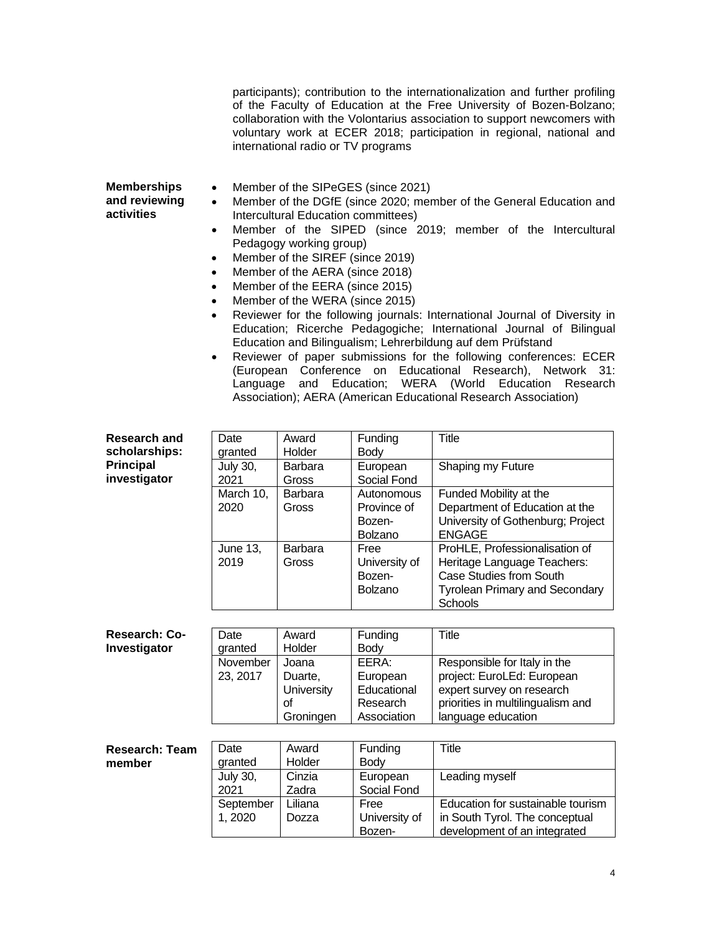participants); contribution to the internationalization and further profiling of the Faculty of Education at the Free University of Bozen-Bolzano; collaboration with the Volontarius association to support newcomers with voluntary work at ECER 2018; participation in regional, national and international radio or TV programs

- **Memberships and reviewing activities**
	- Member of the SIPeGES (since 2021)
		- Member of the DGfE (since 2020; member of the General Education and Intercultural Education committees)
		- Member of the SIPED (since 2019; member of the Intercultural Pedagogy working group)
		- Member of the SIREF (since 2019)
		- Member of the AERA (since 2018)
		- Member of the EERA (since 2015)
		- Member of the WERA (since 2015)
		- Reviewer for the following journals: International Journal of Diversity in Education; Ricerche Pedagogiche; International Journal of Bilingual Education and Bilingualism; Lehrerbildung auf dem Prüfstand
		- Reviewer of paper submissions for the following conferences: ECER (European Conference on Educational Research), Network 31: Language and Education; WERA (World Education Research Association); AERA (American Educational Research Association)

| <b>Research and</b>   | Date            | Award          | Funding        | Title                                 |
|-----------------------|-----------------|----------------|----------------|---------------------------------------|
| scholarships:         | granted         | Holder         | <b>Body</b>    |                                       |
| <b>Principal</b>      | <b>July 30,</b> | Barbara        | European       | Shaping my Future                     |
| investigator          | 2021            | Gross          | Social Fond    |                                       |
|                       | March 10,       | <b>Barbara</b> | Autonomous     | Funded Mobility at the                |
|                       | 2020            | Gross          | Province of    | Department of Education at the        |
|                       |                 |                | Bozen-         | University of Gothenburg; Project     |
|                       |                 |                | <b>Bolzano</b> | <b>ENGAGE</b>                         |
|                       | <b>June 13,</b> | Barbara        | Free           | ProHLE, Professionalisation of        |
|                       | 2019            | Gross          | University of  | Heritage Language Teachers:           |
|                       |                 |                | Bozen-         | Case Studies from South               |
|                       |                 |                | Bolzano        | <b>Tyrolean Primary and Secondary</b> |
|                       |                 |                |                | <b>Schools</b>                        |
|                       |                 |                |                |                                       |
| Research: Co-         | Date            | Award          | Funding        | Title                                 |
| Investigator          | granted         | Holder         | <b>Body</b>    |                                       |
|                       | November        | Joana          | EERA:          | Responsible for Italy in the          |
|                       | 23, 2017        | Duarte,        | European       | project: EuroLEd: European            |
|                       |                 | University     | Educational    | expert survey on research             |
|                       |                 | of             | Research       | priorities in multilingualism and     |
|                       |                 | Groningen      | Association    | language education                    |
|                       |                 |                |                |                                       |
| <b>Research: Team</b> | Date            | Award          | Funding        | <b>Title</b>                          |
| member                | granted         | Holder         | <b>Body</b>    |                                       |
|                       | <b>July 30,</b> | Cinzia         | European       | Leading myself                        |
|                       | 2021            | Zadra          | Social Fond    |                                       |
|                       | September       | Liliana        | Free           | Education for sustainable tourism     |
|                       | 1,2020          | Dozza          | University of  | in South Tyrol. The conceptual        |
|                       |                 |                | Bozen-         | development of an integrated          |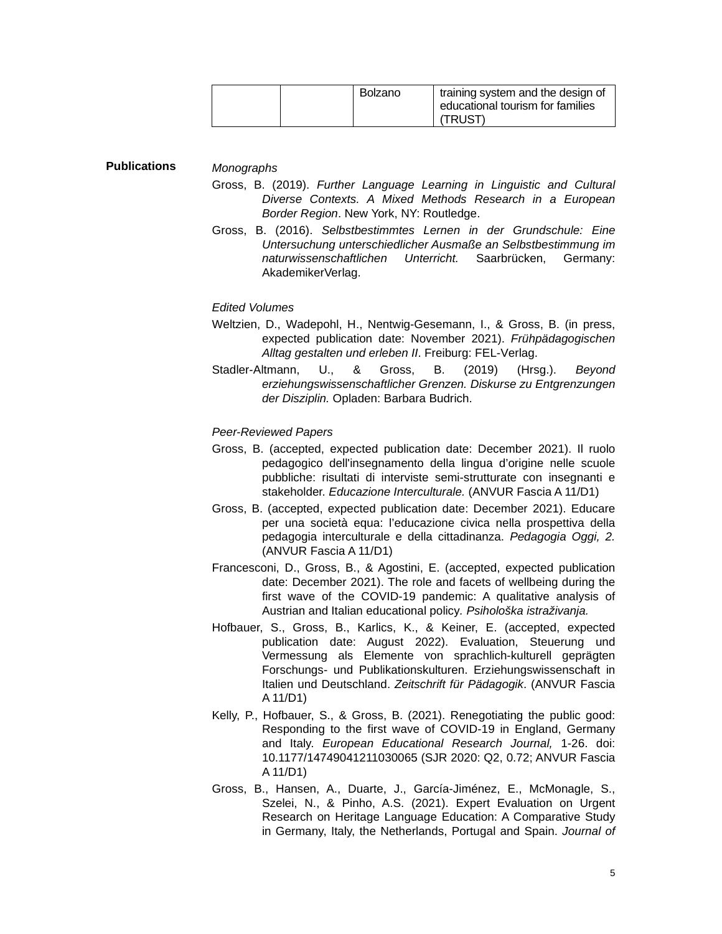| Bolzano | training system and the design of<br>educational tourism for families<br>(TRUST) |
|---------|----------------------------------------------------------------------------------|
|---------|----------------------------------------------------------------------------------|

## **Publications**

*Monographs*

- Gross, B. (2019). *Further Language Learning in Linguistic and Cultural Diverse Contexts. A Mixed Methods Research in a European Border Region*. New York, NY: Routledge.
- Gross, B. (2016). *Selbstbestimmtes Lernen in der Grundschule: Eine Untersuchung unterschiedlicher Ausmaße an Selbstbestimmung im naturwissenschaftlichen Unterricht.* Saarbrücken, Germany: AkademikerVerlag.

## *Edited Volumes*

- Weltzien, D., Wadepohl, H., Nentwig-Gesemann, I., & Gross, B. (in press, expected publication date: November 2021). *Frühpädagogischen Alltag gestalten und erleben II*. Freiburg: FEL-Verlag.
- Stadler-Altmann, U., & Gross, B. (2019) (Hrsg.). *Beyond erziehungswissenschaftlicher Grenzen. Diskurse zu Entgrenzungen der Disziplin.* Opladen: Barbara Budrich.

## *Peer-Reviewed Papers*

- Gross, B. (accepted, expected publication date: December 2021). Il ruolo pedagogico dell'insegnamento della lingua d'origine nelle scuole pubbliche: risultati di interviste semi-strutturate con insegnanti e stakeholder. *Educazione Interculturale.* (ANVUR Fascia A 11/D1)
- Gross, B. (accepted, expected publication date: December 2021). Educare per una società equa: l'educazione civica nella prospettiva della pedagogia interculturale e della cittadinanza. *Pedagogia Oggi, 2.*  (ANVUR Fascia A 11/D1)
- Francesconi, D., Gross, B., & Agostini, E. (accepted, expected publication date: December 2021). The role and facets of wellbeing during the first wave of the COVID-19 pandemic: A qualitative analysis of Austrian and Italian educational policy*. Psihološka istraživanja.*
- Hofbauer, S., Gross, B., Karlics, K., & Keiner, E. (accepted, expected publication date: August 2022). Evaluation, Steuerung und Vermessung als Elemente von sprachlich-kulturell geprägten Forschungs- und Publikationskulturen. Erziehungswissenschaft in Italien und Deutschland. *Zeitschrift für Pädagogik*. (ANVUR Fascia A 11/D1)
- Kelly, P., Hofbauer, S., & Gross, B. (2021). Renegotiating the public good: Responding to the first wave of COVID-19 in England, Germany and Italy. *European Educational Research Journal,* 1-26. doi: 10.1177/14749041211030065 (SJR 2020: Q2, 0.72; ANVUR Fascia A 11/D1)
- Gross, B., Hansen, A., Duarte, J., García-Jiménez, E., McMonagle, S., Szelei, N., & Pinho, A.S. (2021). Expert Evaluation on Urgent Research on Heritage Language Education: A Comparative Study in Germany, Italy, the Netherlands, Portugal and Spain. *Journal of*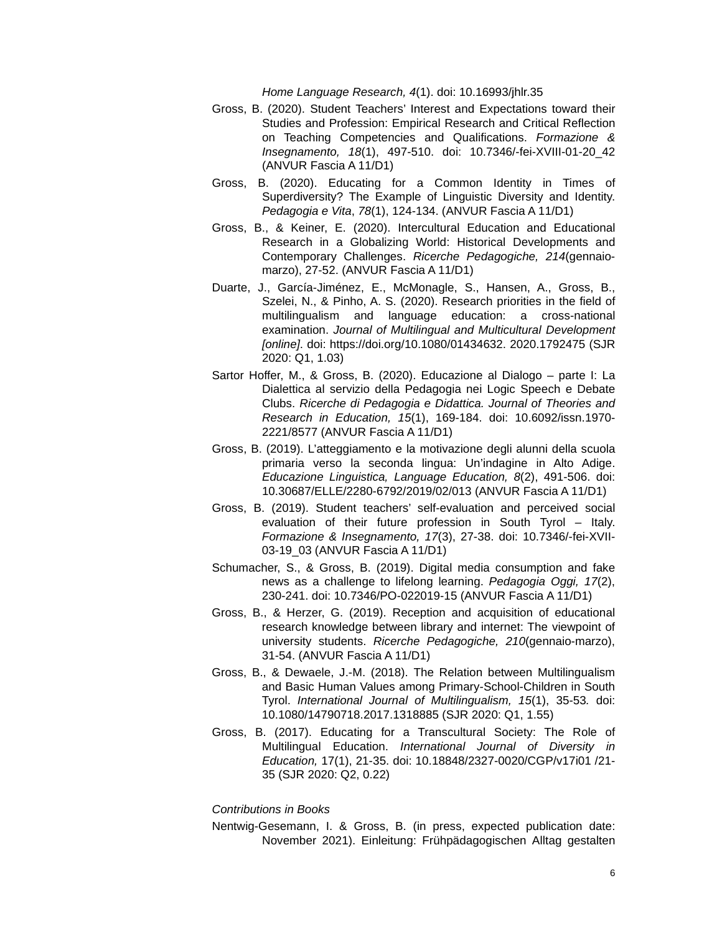*Home Language Research, 4*(1). doi: 10.16993/jhlr.35

- Gross, B. (2020). Student Teachers' Interest and Expectations toward their Studies and Profession: Empirical Research and Critical Reflection on Teaching Competencies and Qualifications. *Formazione & Insegnamento, 18*(1), 497-510. doi: 10.7346/-fei-XVIII-01-20\_42 (ANVUR Fascia A 11/D1)
- Gross, B. (2020). Educating for a Common Identity in Times of Superdiversity? The Example of Linguistic Diversity and Identity. *Pedagogia e Vita*, *78*(1), 124-134. (ANVUR Fascia A 11/D1)
- Gross, B., & Keiner, E. (2020). Intercultural Education and Educational Research in a Globalizing World: Historical Developments and Contemporary Challenges. *Ricerche Pedagogiche, 214*(gennaiomarzo), 27-52. (ANVUR Fascia A 11/D1)
- Duarte, J., García-Jiménez, E., McMonagle, S., Hansen, A., Gross, B., Szelei, N., & Pinho, A. S. (2020). Research priorities in the field of multilingualism and language education: a cross-national examination. *Journal of Multilingual and Multicultural Development [online]*. doi: https://doi.org/10.1080/01434632. 2020.1792475 (SJR 2020: Q1, 1.03)
- Sartor Hoffer, M., & Gross, B. (2020). Educazione al Dialogo parte I: La Dialettica al servizio della Pedagogia nei Logic Speech e Debate Clubs. *Ricerche di Pedagogia e Didattica. Journal of Theories and Research in Education, 15*(1), 169-184. doi: 10.6092/issn.1970- 2221/8577 (ANVUR Fascia A 11/D1)
- Gross, B. (2019). L'atteggiamento e la motivazione degli alunni della scuola primaria verso la seconda lingua: Un'indagine in Alto Adige. *Educazione Linguistica, Language Education, 8*(2), 491-506. doi: 10.30687/ELLE/2280-6792/2019/02/013 (ANVUR Fascia A 11/D1)
- Gross, B. (2019). Student teachers' self-evaluation and perceived social evaluation of their future profession in South Tyrol – Italy. *Formazione & Insegnamento, 17*(3), 27-38. doi: 10.7346/-fei-XVII-03-19\_03 (ANVUR Fascia A 11/D1)
- Schumacher, S., & Gross, B. (2019). Digital media consumption and fake news as a challenge to lifelong learning. *Pedagogia Oggi, 17*(2), 230-241. doi: 10.7346/PO-022019-15 (ANVUR Fascia A 11/D1)
- Gross, B., & Herzer, G. (2019). Reception and acquisition of educational research knowledge between library and internet: The viewpoint of university students. *Ricerche Pedagogiche, 210*(gennaio-marzo), 31-54. (ANVUR Fascia A 11/D1)
- Gross, B., & Dewaele, J.-M. (2018). The Relation between Multilingualism and Basic Human Values among Primary-School-Children in South Tyrol. *International Journal of Multilingualism, 15*(1), 35-53*.* doi: 10.1080/14790718.2017.1318885 (SJR 2020: Q1, 1.55)
- Gross, B. (2017). Educating for a Transcultural Society: The Role of Multilingual Education. *International Journal of Diversity in Education,* 17(1), 21-35. doi: 10.18848/2327-0020/CGP/v17i01 /21- 35 (SJR 2020: Q2, 0.22)

### *Contributions in Books*

Nentwig-Gesemann, I. & Gross, B. (in press, expected publication date: November 2021). Einleitung: Frühpädagogischen Alltag gestalten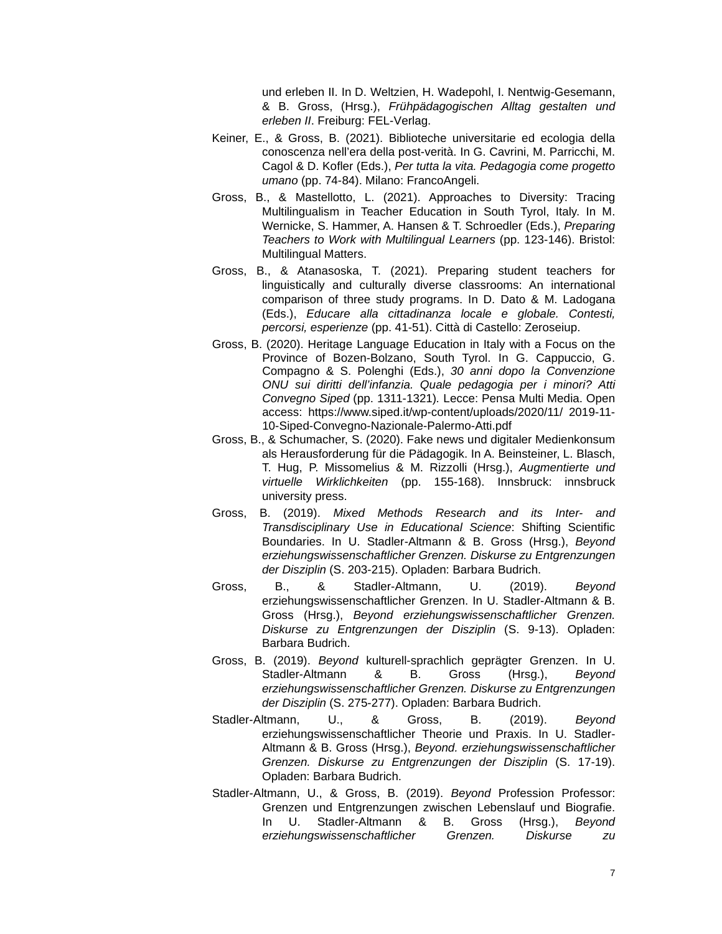und erleben II. In D. Weltzien, H. Wadepohl, I. Nentwig-Gesemann, & B. Gross, (Hrsg.), *Frühpädagogischen Alltag gestalten und erleben II*. Freiburg: FEL-Verlag.

- Keiner, E., & Gross, B. (2021). Biblioteche universitarie ed ecologia della conoscenza nell'era della post-verità. In G. Cavrini, M. Parricchi, M. Cagol & D. Kofler (Eds.), *Per tutta la vita. Pedagogia come progetto umano* (pp. 74-84). Milano: FrancoAngeli.
- Gross, B., & Mastellotto, L. (2021). Approaches to Diversity: Tracing Multilingualism in Teacher Education in South Tyrol, Italy. In M. Wernicke, S. Hammer, A. Hansen & T. Schroedler (Eds.), *Preparing Teachers to Work with Multilingual Learners* (pp. 123-146). Bristol: Multilingual Matters.
- Gross, B., & Atanasoska, T. (2021). Preparing student teachers for linguistically and culturally diverse classrooms: An international comparison of three study programs. In D. Dato & M. Ladogana (Eds.), *Educare alla cittadinanza locale e globale. Contesti, percorsi, esperienze* (pp. 41-51). Città di Castello: Zeroseiup.
- Gross, B. (2020). Heritage Language Education in Italy with a Focus on the Province of Bozen-Bolzano, South Tyrol. In G. Cappuccio, G. Compagno & S. Polenghi (Eds.), *30 anni dopo la Convenzione ONU sui diritti dell'infanzia. Quale pedagogia per i minori? Atti Convegno Siped* (pp. 1311-1321)*.* Lecce: Pensa Multi Media. Open access: https://www.siped.it/wp-content/uploads/2020/11/ 2019-11- 10-Siped-Convegno-Nazionale-Palermo-Atti.pdf
- Gross, B., & Schumacher, S. (2020). Fake news und digitaler Medienkonsum als Herausforderung für die Pädagogik. In A. Beinsteiner, L. Blasch, T. Hug, P. Missomelius & M. Rizzolli (Hrsg.), *Augmentierte und virtuelle Wirklichkeiten* (pp. 155-168). Innsbruck: innsbruck university press.
- Gross, B. (2019). *Mixed Methods Research and its Inter- and Transdisciplinary Use in Educational Science*: Shifting Scientific Boundaries. In U. Stadler-Altmann & B. Gross (Hrsg.), *Beyond erziehungswissenschaftlicher Grenzen. Diskurse zu Entgrenzungen der Disziplin* (S. 203-215). Opladen: Barbara Budrich.
- Gross, B., & Stadler-Altmann, U. (2019). *Beyond*  erziehungswissenschaftlicher Grenzen. In U. Stadler-Altmann & B. Gross (Hrsg.), *Beyond erziehungswissenschaftlicher Grenzen. Diskurse zu Entgrenzungen der Disziplin* (S. 9-13). Opladen: Barbara Budrich.
- Gross, B. (2019). *Beyond* kulturell-sprachlich geprägter Grenzen. In U. Stadler-Altmann & B. Gross (Hrsg.), *Beyond erziehungswissenschaftlicher Grenzen. Diskurse zu Entgrenzungen der Disziplin* (S. 275-277). Opladen: Barbara Budrich.
- Stadler-Altmann, U., & Gross, B. (2019). *Beyond*  erziehungswissenschaftlicher Theorie und Praxis. In U. Stadler-Altmann & B. Gross (Hrsg.), *Beyond. erziehungswissenschaftlicher Grenzen. Diskurse zu Entgrenzungen der Disziplin* (S. 17-19). Opladen: Barbara Budrich.
- Stadler-Altmann, U., & Gross, B. (2019). *Beyond* Profession Professor: Grenzen und Entgrenzungen zwischen Lebenslauf und Biografie. In U. Stadler-Altmann & B. Gross (Hrsg.), *Beyond erziehungswissenschaftlicher Grenzen. Diskurse zu*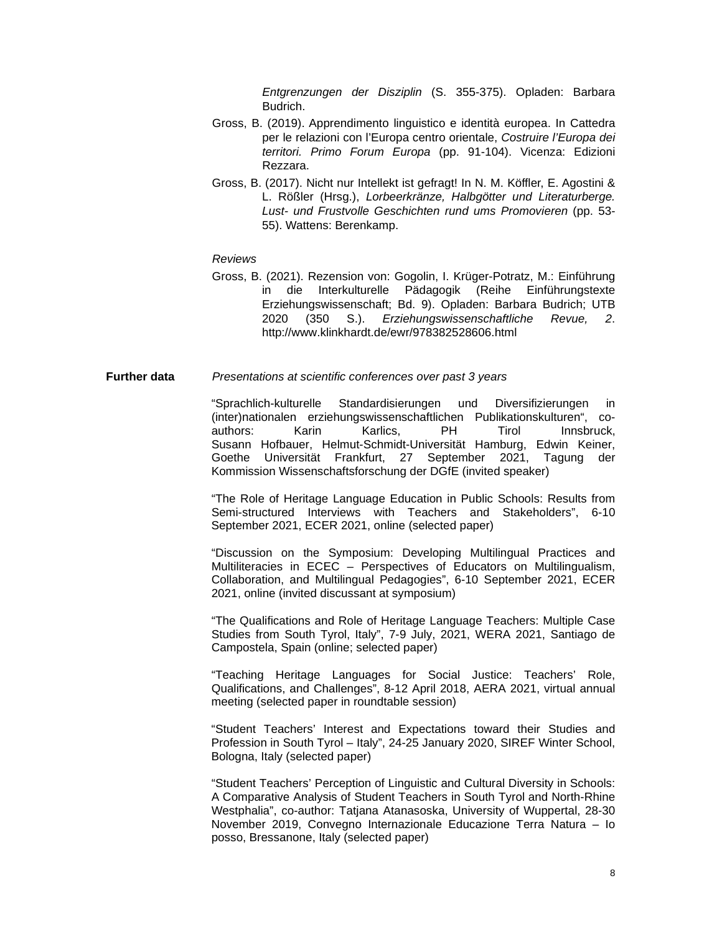*Entgrenzungen der Disziplin* (S. 355-375). Opladen: Barbara Budrich.

- Gross, B. (2019). Apprendimento linguistico e identità europea. In Cattedra per le relazioni con l'Europa centro orientale, *Costruire l'Europa dei territori. Primo Forum Europa* (pp. 91-104). Vicenza: Edizioni Rezzara.
- Gross, B. (2017). Nicht nur Intellekt ist gefragt! In N. M. Köffler, E. Agostini & L. Rößler (Hrsg.), *Lorbeerkränze, Halbgötter und Literaturberge. Lust- und Frustvolle Geschichten rund ums Promovieren* (pp. 53- 55). Wattens: Berenkamp.

## *Reviews*

Gross, B. (2021). Rezension von: Gogolin, I. Krüger-Potratz, M.: Einführung in die Interkulturelle Pädagogik (Reihe Einführungstexte Erziehungswissenschaft; Bd. 9). Opladen: Barbara Budrich; UTB 2020 (350 S.). *Erziehungswissenschaftliche Revue, 2*. http://www.klinkhardt.de/ewr/978382528606.html

#### **Further data** *Presentations at scientific conferences over past 3 years*

"Sprachlich-kulturelle Standardisierungen und Diversifizierungen in (inter)nationalen erziehungswissenschaftlichen Publikationskulturen", coauthors: Karin Karlics, PH Tirol Innsbruck, Susann Hofbauer, Helmut-Schmidt-Universität Hamburg, Edwin Keiner, Goethe Universität Frankfurt, 27 September 2021, Tagung der Kommission Wissenschaftsforschung der DGfE (invited speaker)

"The Role of Heritage Language Education in Public Schools: Results from Semi-structured Interviews with Teachers and Stakeholders", 6-10 September 2021, ECER 2021, online (selected paper)

"Discussion on the Symposium: Developing Multilingual Practices and Multiliteracies in ECEC – Perspectives of Educators on Multilingualism, Collaboration, and Multilingual Pedagogies", 6-10 September 2021, ECER 2021, online (invited discussant at symposium)

"The Qualifications and Role of Heritage Language Teachers: Multiple Case Studies from South Tyrol, Italy", 7-9 July, 2021, WERA 2021, Santiago de Campostela, Spain (online; selected paper)

"Teaching Heritage Languages for Social Justice: Teachers' Role, Qualifications, and Challenges", 8-12 April 2018, AERA 2021, virtual annual meeting (selected paper in roundtable session)

"Student Teachers' Interest and Expectations toward their Studies and Profession in South Tyrol – Italy", 24-25 January 2020, SIREF Winter School, Bologna, Italy (selected paper)

"Student Teachers' Perception of Linguistic and Cultural Diversity in Schools: A Comparative Analysis of Student Teachers in South Tyrol and North-Rhine Westphalia", co-author: Tatjana Atanasoska, University of Wuppertal, 28-30 November 2019, Convegno Internazionale Educazione Terra Natura – Io posso, Bressanone, Italy (selected paper)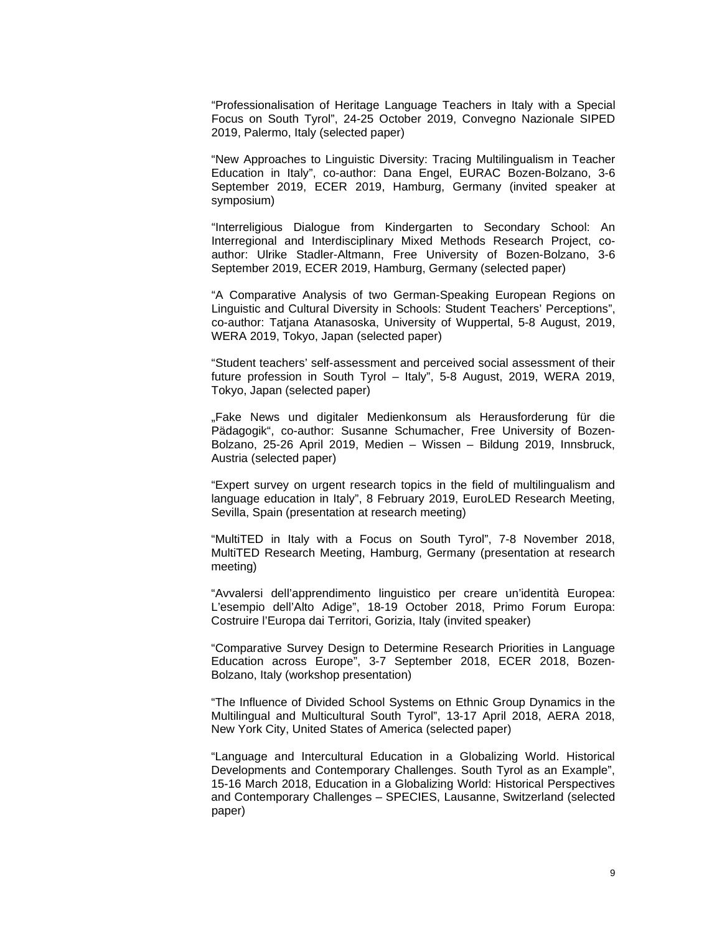"Professionalisation of Heritage Language Teachers in Italy with a Special Focus on South Tyrol", 24-25 October 2019, Convegno Nazionale SIPED 2019, Palermo, Italy (selected paper)

"New Approaches to Linguistic Diversity: Tracing Multilingualism in Teacher Education in Italy", co-author: Dana Engel, EURAC Bozen-Bolzano, 3-6 September 2019, ECER 2019, Hamburg, Germany (invited speaker at symposium)

"Interreligious Dialogue from Kindergarten to Secondary School: An Interregional and Interdisciplinary Mixed Methods Research Project, coauthor: Ulrike Stadler-Altmann, Free University of Bozen-Bolzano, 3-6 September 2019, ECER 2019, Hamburg, Germany (selected paper)

"A Comparative Analysis of two German-Speaking European Regions on Linguistic and Cultural Diversity in Schools: Student Teachers' Perceptions", co-author: Tatjana Atanasoska, University of Wuppertal, 5-8 August, 2019, WERA 2019, Tokyo, Japan (selected paper)

"Student teachers' self-assessment and perceived social assessment of their future profession in South Tyrol – Italy", 5-8 August, 2019, WERA 2019, Tokyo, Japan (selected paper)

"Fake News und digitaler Medienkonsum als Herausforderung für die Pädagogik", co-author: Susanne Schumacher, Free University of Bozen-Bolzano, 25-26 April 2019, Medien – Wissen – Bildung 2019, Innsbruck, Austria (selected paper)

"Expert survey on urgent research topics in the field of multilingualism and language education in Italy", 8 February 2019, EuroLED Research Meeting, Sevilla, Spain (presentation at research meeting)

"MultiTED in Italy with a Focus on South Tyrol", 7-8 November 2018, MultiTED Research Meeting, Hamburg, Germany (presentation at research meeting)

"Avvalersi dell'apprendimento linguistico per creare un'identità Europea: L'esempio dell'Alto Adige", 18-19 October 2018, Primo Forum Europa: Costruire l'Europa dai Territori, Gorizia, Italy (invited speaker)

"Comparative Survey Design to Determine Research Priorities in Language Education across Europe", 3-7 September 2018, ECER 2018, Bozen-Bolzano, Italy (workshop presentation)

"The Influence of Divided School Systems on Ethnic Group Dynamics in the Multilingual and Multicultural South Tyrol", 13-17 April 2018, AERA 2018, New York City, United States of America (selected paper)

"Language and Intercultural Education in a Globalizing World. Historical Developments and Contemporary Challenges. South Tyrol as an Example", 15-16 March 2018, Education in a Globalizing World: Historical Perspectives and Contemporary Challenges – SPECIES, Lausanne, Switzerland (selected paper)